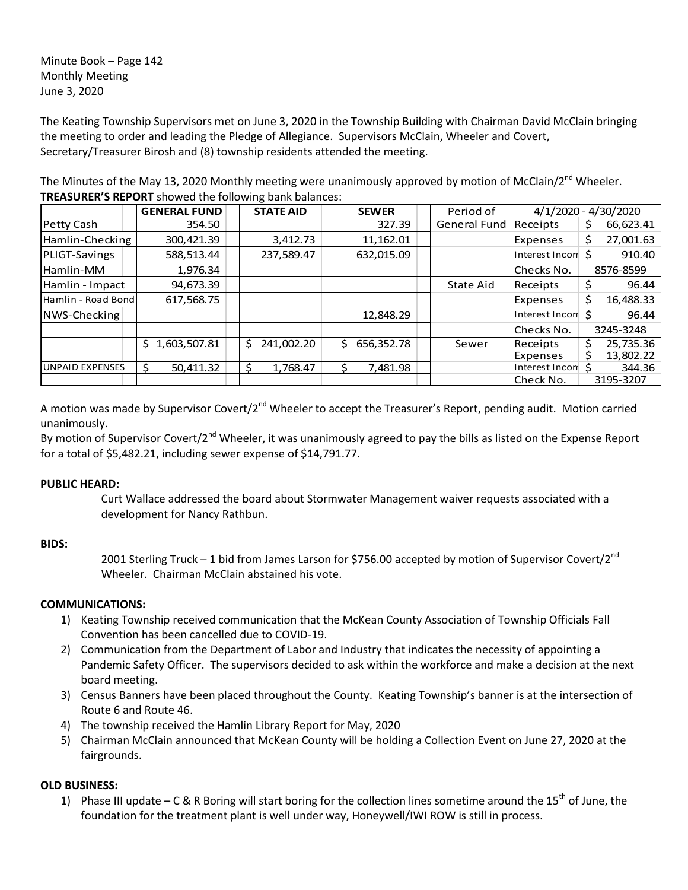Minute Book – Page 142 Monthly Meeting June 3, 2020

The Keating Township Supervisors met on June 3, 2020 in the Township Building with Chairman David McClain bringing the meeting to order and leading the Pledge of Allegiance. Supervisors McClain, Wheeler and Covert, Secretary/Treasurer Birosh and (8) township residents attended the meeting.

The Minutes of the May 13, 2020 Monthly meeting were unanimously approved by motion of McClain/2<sup>nd</sup> Wheeler. **TREASURER'S REPORT** showed the following bank balances:

|                        | <b>GENERAL FUND</b> | <b>STATE AID</b> | <b>SEWER</b>    | Period of    |                             | 4/1/2020 - 4/30/2020 |
|------------------------|---------------------|------------------|-----------------|--------------|-----------------------------|----------------------|
| Petty Cash             | 354.50              |                  | 327.39          | General Fund | Receipts                    | 66,623.41<br>Ş       |
| Hamlin-Checking        | 300,421.39          | 3,412.73         | 11,162.01       |              | Expenses                    | 27,001.63<br>\$      |
| PLIGT-Savings          | 588,513.44          | 237,589.47       | 632,015.09      |              | Interest Incom \$           | 910.40               |
| Hamlin-MM              | 1,976.34            |                  |                 |              | Checks No.                  | 8576-8599            |
| Hamlin - Impact        | 94,673.39           |                  |                 | State Aid    | Receipts                    | \$<br>96.44          |
| Hamlin - Road Bond     | 617,568.75          |                  |                 |              | Expenses                    | \$<br>16,488.33      |
| NWS-Checking           |                     |                  | 12,848.29       |              | Interest Incom <sup>5</sup> | 96.44                |
|                        |                     |                  |                 |              | Checks No.                  | 3245-3248            |
|                        | 1,603,507.81<br>Ś.  | 241.002.20<br>S  | 656,352.78<br>Ŝ | Sewer        | Receipts                    | 25,735.36<br>Ś.      |
|                        |                     |                  |                 |              | Expenses                    | 13,802.22<br>s       |
| <b>UNPAID EXPENSES</b> | 50.411.32           | 1.768.47<br>S    | \$.<br>7.481.98 |              | Interest Incom S            | 344.36               |
|                        |                     |                  |                 |              | Check No.                   | 3195-3207            |

A motion was made by Supervisor Covert/2<sup>nd</sup> Wheeler to accept the Treasurer's Report, pending audit. Motion carried unanimously.

By motion of Supervisor Covert/2<sup>nd</sup> Wheeler, it was unanimously agreed to pay the bills as listed on the Expense Report for a total of \$5,482.21, including sewer expense of \$14,791.77.

## **PUBLIC HEARD:**

Curt Wallace addressed the board about Stormwater Management waiver requests associated with a development for Nancy Rathbun.

## **BIDS:**

2001 Sterling Truck – 1 bid from James Larson for \$756.00 accepted by motion of Supervisor Covert/2<sup>nd</sup> Wheeler. Chairman McClain abstained his vote.

## **COMMUNICATIONS:**

- 1) Keating Township received communication that the McKean County Association of Township Officials Fall Convention has been cancelled due to COVID-19.
- 2) Communication from the Department of Labor and Industry that indicates the necessity of appointing a Pandemic Safety Officer. The supervisors decided to ask within the workforce and make a decision at the next board meeting.
- 3) Census Banners have been placed throughout the County. Keating Township's banner is at the intersection of Route 6 and Route 46.
- 4) The township received the Hamlin Library Report for May, 2020
- 5) Chairman McClain announced that McKean County will be holding a Collection Event on June 27, 2020 at the fairgrounds.

# **OLD BUSINESS:**

1) Phase III update – C & R Boring will start boring for the collection lines sometime around the 15<sup>th</sup> of June, the foundation for the treatment plant is well under way, Honeywell/IWI ROW is still in process.